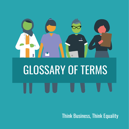

**Think Business, Think Equality**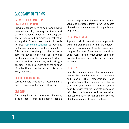# GLOSSARY OF TERMS

## BALANCE OF PROBABILITIES/ REASONABLE GROUNDS

Criminal offences have to be proved beyond reasonable doubt, meaning that there must be clear evidence supporting the allegation against the accused. An employer investigating a complaint of sexual harassment only needs to have reasonable grounds to conclude that sexual harassment has been committed. This includes weighing up the evidence gathered during an investigation, including the testimonies of the complainant, alleged harasser and any witnesses, and making a decision. To decide something on the balance of probabilities is to decide that it is 'more likely than not'.

## DIRECT DISCRIMINATION

Less favourable treatment of a woman than a man (or vice versa) because of their sex

#### **DIVERSITY**

The recognition and valuing of difference, in its broadest sense. It is about creating a culture and practices that recognise, respect, value and harness difference for the benefit of service users, members of the public and employees.

## EQUAL PAY REVIEW

A process which looks at pay arrangements within an organisation to find, and address, gender discrimination. It involves comparing the pay of groups of workers who are doing equal work in the organisation and then investigating any gaps between men's and women's pay.

#### **EQUALITY**

Equality does not mean that women and men will become the same but that women's and men's rights, responsibilities and opportunities will not depend on whether they are born male or female. Gender equality implies that the interests, needs and priorities of both women and men are taken into consideration - recognising the diversity of different groups of women and men.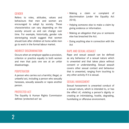#### **GENDER**

Refers to roles, attitudes, values and behaviours that men and women are encouraged to adopt by society. These characteristics can vary depending on the society around us and can change over time. For example, historically, gender role stereotyping would suggest that women should look after children at home while men go to work in the formal labour market.

#### INDIRECT DISCRIMINATION

Occurs when an employer applies a provision, criterion or practice equally to both women and men that puts one sex at an unfair disadvantage.

#### **PERPETRATOR**

A person who carries out a harmful, illegal, or unlawful act, including a person who sexually harasses, sexually assaults or rapes another person.

#### PROTECTED ACT

The Equality & Human Rights Commission defines 'protected act' as:

- Making a claim or complaint of discrimination (under the Equality Act 2010).
- Helping someone else to make a claim by giving evidence or information.
- Making an allegation that you or someone else has breached the Act.
- Doing anything else in connection with the Act

#### RAPE AND SEXUAL ASSAULT

Rape and sexual assault can be defined as any behaviour of a sexual nature which is unwanted and that takes place without consent or understanding. Sexual assault covers other sexual contact and behaviour that is unwanted, ranging from touching to any other activity if it is sexual.

#### SEXUAL HARASSMENT

Sexual harassment is unwanted conduct of a sexual nature, which is intended to, or has the effect of, violating a person's dignity or creating an intimidating, hostile, degrading, humiliating or offensive environment.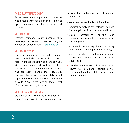#### THIRD-PARTY HARASSMENT

Sexual harassment perpetrated by someone who doesn't work for a particular employer against someone who does work for that employer.

#### **VICTIMISATION**

Treating someone badly because they have reported sexual harassment in your workplace, or done another 'protected act'.

#### VICTIM-SURVIVOR

The term victim-survivor is used to capture that individuals experiencing sexual harassment can be both victim and survivor. Victims are often portrayed as helpless, powerless or passive in contrast to survivors who are active, heroic and resourceful. However, the terms used separately do not capture the experience of sexual harassment or wider VAW or the external factors that affect women's ability to report.

#### VIOLENCE AGAINST WOMEN

Violence against women is a violation of a women's human rights and an enduring social problem that undermines workplaces and communities.

VAW encompasses (but is not limited to):

- physical, sexual and psychological violence including domestic abuse, rape, and incest;
- sexual harassment, bullying and intimidation in any public or private space, including work;
- commercial sexual exploitation, including prostitution, pornography and trafficking;
- child sexual abuse, including familial sexual abuse, child sexual exploitation and online abuse; and
- so called 'honour-based' violence, including dowry related violence, female genital mutilation, forced and child marriages, and 'honour' crimes.